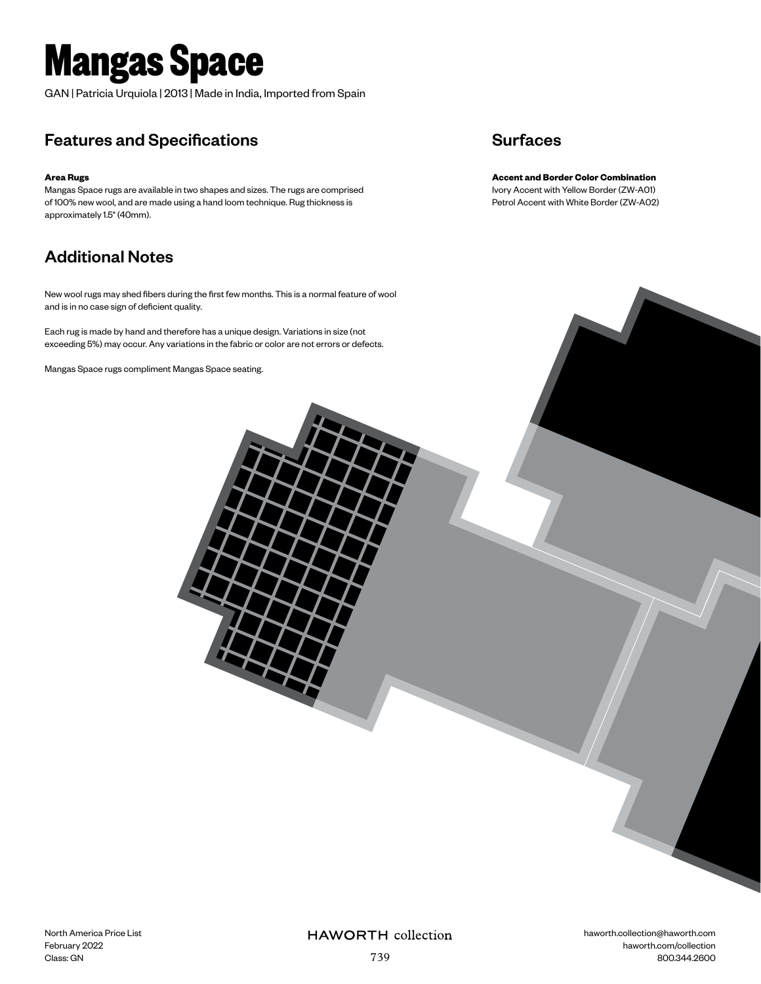# **Mangas Space**

GAN | Patricia Urquiola | 2013 | Made in India, Imported from Spain

### Features and Specifications

#### **Area Rugs**

Mangas Space rugs are available in two shapes and sizes. The rugs are comprised of 100% new wool, and are made using a hand loom technique. Rug thickness is approximately 1.5" (40mm).

### Additional Notes

New wool rugs may shed fibers during the first few months. This is a normal feature of wool and is in no case sign of deficient quality.

Each rug is made by hand and therefore has a unique design. Variations in size (not exceeding 5%) may occur. Any variations in the fabric or color are not errors or defects.

Mangas Space rugs compliment Mangas Space seating.

#### **Surfaces**

**Accent and Border Color Combination** Ivory Accent with Yellow Border (ZW-A01) Petrol Accent with White Border (ZW-A02)